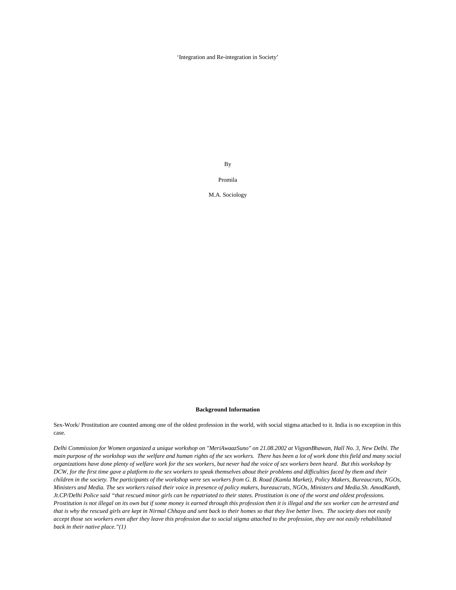'Integration and Re-integration in Society'

By

Promila

M.A. Sociology

## **Background Information**

Sex-Work/ Prostitution are counted among one of the oldest profession in the world, with social stigma attached to it. India is no exception in this case.

*Delhi Commission for Women organized a unique workshop on "MeriAwaazSuno" on 21.08.2002 at VigyanBhawan, Hall No. 3, New Delhi. The main purpose of the workshop was the welfare and human rights of the sex workers. There has been a lot of work done this field and many social organizations have done plenty of welfare work for the sex workers, but never had the voice of sex workers been heard. But this workshop by DCW, for the first time gave a platform to the sex workers to speak themselves about their problems and difficulties faced by them and their children in the society. The participants of the workshop were sex workers from G. B. Road (Kamla Market), Policy Makers, Bureaucrats, NGOs, Ministers and Media. The sex workers raised their voice in presence of policy makers, bureaucrats, NGOs, Ministers and Media.Sh. AmodKanth, Jt.CP/Delhi Police said "that rescued minor girls can be repatriated to their states. Prostitution is one of the worst and oldest professions. Prostitution is not illegal on its own but if some money is earned through this profession then it is illegal and the sex worker can be arrested and that is why the rescued girls are kept in Nirmal Chhaya and sent back to their homes so that they live better lives. The society does not easily accept those sex workers even after they leave this profession due to social stigma attached to the profession, they are not easily rehabilitated back in their native place."(1)*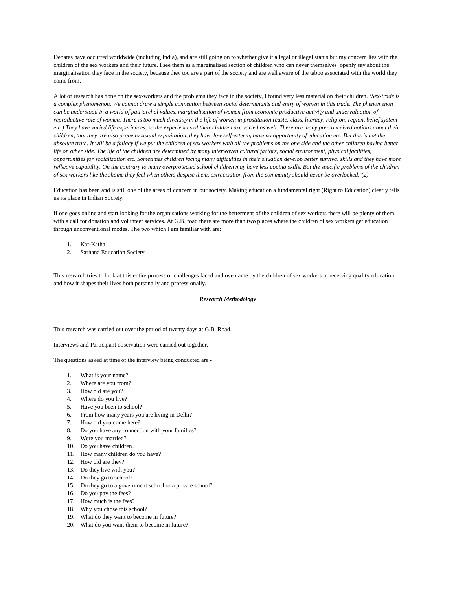Debates have occurred worldwide (including India), and are still going on to whether give it a legal or illegal status but my concern lies with the children of the sex workers and their future. I see them as a marginalised section of children who can never themselves openly say about the marginalisation they face in the society, because they too are a part of the society and are well aware of the taboo associated with the world they come from.

A lot of research has done on the sex-workers and the problems they face in the society, I found very less material on their children. '*Sex-trade is a complex phenomenon. We cannot draw a simple connection between social determinants and entry of women in this trade. The phenomenon can be understood in a world of patriarchal values, marginalisation of women from economic productive activity and undervaluation of reproductive role of women. There is too much diversity in the life of women in prostitution (caste, class, literacy, religion, region, belief system etc.) They have varied life experiences, so the experiences of their children are varied as well. There are many pre-conceived notions about their children, that they are also prone to sexual exploitation, they have low self-esteem, have no opportunity of education etc. But this is not the absolute truth. It will be a fallacy if we put the children of sex workers with all the problems on the one side and the other children having better life on other side. The life of the children are determined by many interwoven cultural factors, social environment, physical facilities, opportunities for socialization etc. Sometimes children facing many difficulties in their situation develop better survival skills and they have more reflexive capability. On the contrary to many overprotected school children may have less coping skills. But the specific problems of the children of sex workers like the shame they feel when others despise them, ostracisation from the community should never be overlooked.'(2)*

Education has been and is still one of the areas of concern in our society. Making education a fundamental right (Right to Education) clearly tells us its place in Indian Society.

If one goes online and start looking for the organisations working for the betterment of the children of sex workers there will be plenty of them, with a call for donation and volunteer services. At G.B. road there are more than two places where the children of sex workers get education through unconventional modes. The two which I am familiar with are:

- 1. Kat-Katha
- 2. Sarhana Education Society

This research tries to look at this entire process of challenges faced and overcame by the children of sex workers in receiving quality education and how it shapes their lives both personally and professionally.

### *Research Methodology*

This research was carried out over the period of twenty days at G.B. Road.

Interviews and Participant observation were carried out together.

The questions asked at time of the interview being conducted are -

- 1. What is your name?
- 2. Where are you from?
- 3. How old are you?
- 4. Where do you live?
- 5. Have you been to school?
- 6. From how many years you are living in Delhi?
- 7. How did you come here?
- 8. Do you have any connection with your families?
- 9. Were you married?
- 10. Do you have children?
- 11. How many children do you have?
- 12. How old are they?
- 13. Do they live with you?
- 14. Do they go to school?
- 15. Do they go to a government school or a private school?
- 16. Do you pay the fees?
- 17. How much is the fees?
- 18. Why you chose this school?
- 19. What do they want to become in future?
- 20. What do you want them to become in future?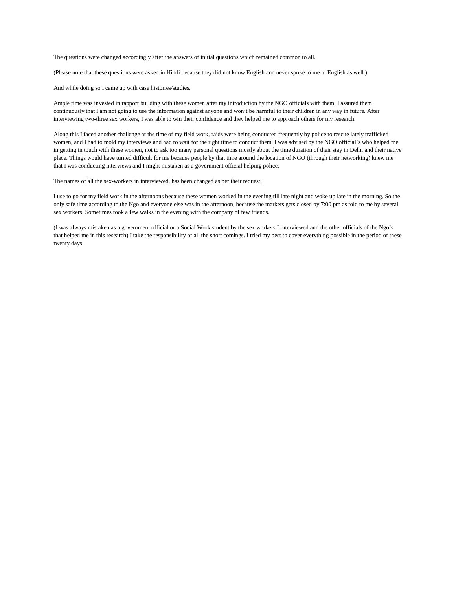The questions were changed accordingly after the answers of initial questions which remained common to all.

(Please note that these questions were asked in Hindi because they did not know English and never spoke to me in English as well.)

And while doing so I came up with case histories/studies.

Ample time was invested in rapport building with these women after my introduction by the NGO officials with them. I assured them continuously that I am not going to use the information against anyone and won't be harmful to their children in any way in future. After interviewing two-three sex workers, I was able to win their confidence and they helped me to approach others for my research.

Along this I faced another challenge at the time of my field work, raids were being conducted frequently by police to rescue lately trafficked women, and I had to mold my interviews and had to wait for the right time to conduct them. I was advised by the NGO official's who helped me in getting in touch with these women, not to ask too many personal questions mostly about the time duration of their stay in Delhi and their native place. Things would have turned difficult for me because people by that time around the location of NGO (through their networking) knew me that I was conducting interviews and I might mistaken as a government official helping police.

The names of all the sex-workers in interviewed, has been changed as per their request.

I use to go for my field work in the afternoons because these women worked in the evening till late night and woke up late in the morning. So the only safe time according to the Ngo and everyone else was in the afternoon, because the markets gets closed by 7:00 pm as told to me by several sex workers. Sometimes took a few walks in the evening with the company of few friends.

(I was always mistaken as a government official or a Social Work student by the sex workers I interviewed and the other officials of the Ngo's that helped me in this research) I take the responsibility of all the short comings. I tried my best to cover everything possible in the period of these twenty days.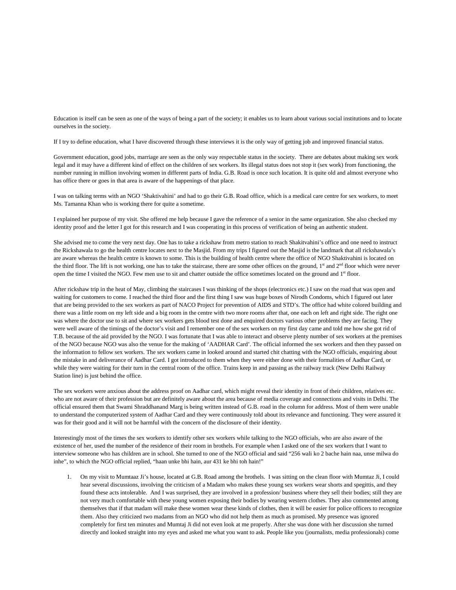Education is itself can be seen as one of the ways of being a part of the society; it enables us to learn about various social institutions and to locate ourselves in the society.

If I try to define education, what I have discovered through these interviews it is the only way of getting job and improved financial status.

Government education, good jobs, marriage are seen as the only way respectable status in the society. There are debates about making sex work legal and it may have a different kind of effect on the children of sex workers. Its illegal status does not stop it (sex work) from functioning, the number running in million involving women in different parts of India. G.B. Road is once such location. It is quite old and almost everyone who has office there or goes in that area is aware of the happenings of that place.

I was on talking terms with an NGO 'Shaktivahini' and had to go their G.B. Road office, which is a medical care centre for sex workers, to meet Ms. Tamanna Khan who is working there for quite a sometime.

I explained her purpose of my visit. She offered me help because I gave the reference of a senior in the same organization. She also checked my identity proof and the letter I got for this research and I was cooperating in this process of verification of being an authentic student.

She advised me to come the very next day. One has to take a rickshaw from metro station to reach Shakitvahini's office and one need to instruct the Rickshawala to go the health centre locates next to the Masjid. From my trips I figured out the Masjid is the landmark that all rickshawala's are aware whereas the health centre is known to some. This is the building of health centre where the office of NGO Shaktivahini is located on the third floor. The lift is not working, one has to take the staircase, there are some other offices on the ground,  $1<sup>st</sup>$  and  $2<sup>nd</sup>$  floor which were never open the time I visited the NGO. Few men use to sit and chatter outside the office sometimes located on the ground and 1<sup>st</sup> floor.

After rickshaw trip in the heat of May, climbing the staircases I was thinking of the shops (electronics etc.) I saw on the road that was open and waiting for customers to come. I reached the third floor and the first thing I saw was huge boxes of Nirodh Condoms, which I figured out later that are being provided to the sex workers as part of NACO Project for prevention of AIDS and STD's. The office had white colored building and there was a little room on my left side and a big room in the centre with two more rooms after that, one each on left and right side. The right one was where the doctor use to sit and where sex workers gets blood test done and enquired doctors various other problems they are facing. They were well aware of the timings of the doctor's visit and I remember one of the sex workers on my first day came and told me how she got rid of T.B. because of the aid provided by the NGO. I was fortunate that I was able to interact and observe plenty number of sex workers at the premises of the NGO because NGO was also the venue for the making of 'AADHAR Card'. The official informed the sex workers and then they passed on the information to fellow sex workers. The sex workers came in looked around and started chit chatting with the NGO officials, enquiring about the mistake in and deliverance of Aadhar Card. I got introduced to them when they were either done with their formalities of Aadhar Card, or while they were waiting for their turn in the central room of the office. Trains keep in and passing as the railway track (New Delhi Railway Station line) is just behind the office.

The sex workers were anxious about the address proof on Aadhar card, which might reveal their identity in front of their children, relatives etc. who are not aware of their profession but are definitely aware about the area because of media coverage and connections and visits in Delhi. The official ensured them that Swami Shraddhanand Marg is being written instead of G.B. road in the column for address. Most of them were unable to understand the computerized system of Aadhar Card and they were continuously told about its relevance and functioning. They were assured it was for their good and it will not be harmful with the concern of the disclosure of their identity.

Interestingly most of the times the sex workers to identify other sex workers while talking to the NGO officials, who are also aware of the existence of her, used the number of the residence of their room in brothels. For example when I asked one of the sex workers that I want to interview someone who has children are in school. She turned to one of the NGO official and said "256 wali ko 2 bache hain naa, unse milwa do inhe", to which the NGO official replied, "haan unke bhi hain, aur 431 ke bhi toh hain!"

1. On my visit to Mumtaaz Ji's house, located at G.B. Road among the brothels. I was sitting on the clean floor with Mumtaz Ji, I could hear several discussions, involving the criticism of a Madam who makes these young sex workers wear shorts and spegittis, and they found these acts intolerable. And I was surprised, they are involved in a profession/ business where they sell their bodies; still they are not very much comfortable with these young women exposing their bodies by wearing western clothes. They also commented among themselves that if that madam will make these women wear these kinds of clothes, then it will be easier for police officers to recognize them. Also they criticized two madams from an NGO who did not help them as much as promised. My presence was ignored completely for first ten minutes and Mumtaj Ji did not even look at me properly. After she was done with her discussion she turned directly and looked straight into my eyes and asked me what you want to ask. People like you (journalists, media professionals) come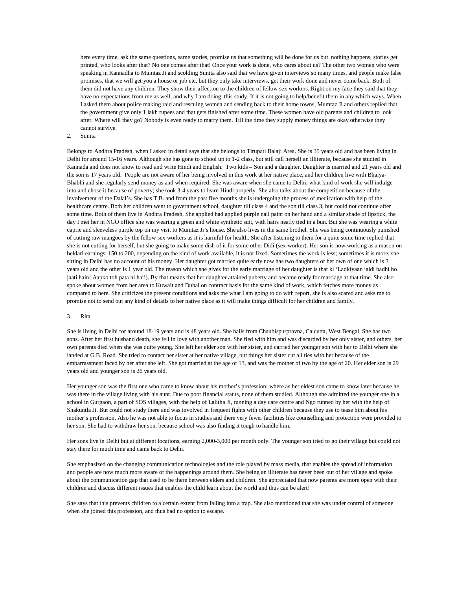here every time, ask the same questions, same stories, promise us that something will be done for us but nothing happens, stories get printed, who looks after that? No one comes after that! Once your work is done, who cares about us? The other two women who were speaking in Kannadha to Mumtaz Ji and scolding Sunita also said that we have given interviews so many times, and people make false promises, that we will get you a house or job etc. but they only take interviews, get their work done and never come back. Both of them did not have any children. They show their affection to the children of fellow sex workers. Right on my face they said that they have no expectations from me as well, and why I am doing this study. If it is not going to help/benefit them in any which ways. When I asked them about police making raid and rescuing women and sending back to their home towns, Mumtaz Ji and others replied that the government give only 1 lakh rupees and that gets finished after some time. These women have old parents and children to look after. Where will they go? Nobody is even ready to marry them. Till the time they supply money things are okay otherwise they cannot survive.

## 2. Sunita

Belongs to Andhra Pradesh, when I asked in detail says that she belongs to Tirupati Balaji Area. She is 35 years old and has been living in Delhi for around 15-16 years. Although she has gone to school up to 1-2 class, but still call herself an illiterate, because she studied in Kannada and does not know to read and write Hindi and English. Two kids – Son and a daughter. Daughter is married and 21 years old and the son is 17 years old. People are not aware of her being involved in this work at her native place, and her children live with Bhaiya-Bhabhi and she regularly send money as and when required. She was aware when she came to Delhi, what kind of work she will indulge into and chose it because of poverty; she took 3-4 years to learn Hindi properly. She also talks about the competition because of the involvement of the Dalal's. She has T.B. and from the past five months she is undergoing the process of medication with help of the healthcare centre. Both her children went to government school, daughter till class 4 and the son till class 3, but could not continue after some time. Both of them live in Andhra Pradesh. She applied had applied purple nail paint on her hand and a similar shade of lipstick, the day I met her in NGO office she was wearing a green and white synthetic suit, with hairs neatly tied in a bun. But she was wearing a white caprie and sleeveless purple top on my visit to Mumtaz Ji's house. She also lives in the same brothel. She was being continuously punished of cutting raw mangoes by the fellow sex workers as it is harmful for health. She after listening to them for a quite some time replied that she is not cutting for herself, but she going to make some dish of it for some other Didi (sex-worker). Her son is now working as a mason on beldari earnings. 150 to 200, depending on the kind of work available, it is not fixed. Sometimes the work is less; sometimes it is more, she sitting in Delhi has no account of his money. Her daughter got married quite early now has two daughters of her own of one which is 3 years old and the other is 1 year old. The reason which she gives for the early marriage of her daughter is that ki 'Ladkiyaan jaldi badhi ho jaati hain! Aapko toh pata hi hai!). By that means that her daughter attained puberty and became ready for marriage at that time. She also spoke about women from her area to Kuwait and Dubai on contract basis for the same kind of work, which fetches more money as compared to here. She criticizes the present conditions and asks me what I am going to do with report, she is also scared and asks me to promise not to send out any kind of details to her native place as it will make things difficult for her children and family.

#### 3. Rita

She is living in Delhi for around 18-19 years and is 48 years old. She hails from Chaubispurpravna, Calcutta, West Bengal. She has two sons. After her first husband death, she fell in love with another man. She fled with him and was discarded by her only sister, and others, her own parents died when she was quite young. She left her elder son with her sister, and carried her younger son with her to Delhi where she landed at G.B. Road. She tried to contact her sister at her native village, but things her sister cut all ties with her because of the embarrassment faced by her after she left. She got married at the age of 13, and was the mother of two by the age of 20. Her elder son is 29 years old and younger son is 26 years old.

Her younger son was the first one who came to know about his mother's profession; where as her eldest son came to know later because he was there in the village living with his aunt. Due to poor financial status, none of them studied. Although she admitted the younger one in a school in Gurgaon, a part of SOS villages, with the help of Lalitha Ji, running a day care centre and Ngo runned by her with the help of Shakuntla Ji. But could not study there and was involved in frequent fights with other children because they use to tease him about his mother's profession. Also he was not able to focus in studies and there very fewer facilities like counselling and protection were provided to her son. She had to withdraw her son, because school was also finding it tough to handle him.

Her sons live in Delhi but at different locations, earning 2,000-3,000 per month only. The younger son tried to go their village but could not stay there for much time and came back to Delhi.

She emphasized on the changing communication technologies and the role played by mass media, that enables the spread of information and people are now much more aware of the happenings around them. She being an illiterate has never been out of her village and spoke about the communication gap that used to be there between elders and children. She appreciated that now parents are more open with their children and discuss different issues that enables the child learn about the world and thus can be alert!

She says that this prevents children to a certain extent from falling into a trap. She also mentioned that she was under control of someone when she joined this profession, and thus had no option to escape.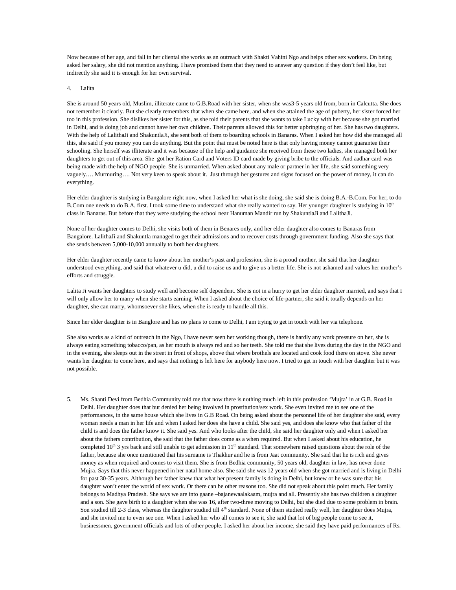Now because of her age, and fall in her cliental she works as an outreach with Shakti Vahini Ngo and helps other sex workers. On being asked her salary, she did not mention anything. I have promised them that they need to answer any question if they don't feel like, but indirectly she said it is enough for her own survival.

4. Lalita

She is around 50 years old, Muslim, illiterate came to G.B.Road with her sister, when she was3-5 years old from, born in Calcutta. She does not remember it clearly. But she clearly remembers that when she came here, and when she attained the age of puberty, her sister forced her too in this profession. She dislikes her sister for this, as she told their parents that she wants to take Lucky with her because she got married in Delhi, and is doing job and cannot have her own children. Their parents allowed this for better upbringing of her. She has two daughters. With the help of LalithaJi and ShakuntlaJi, she sent both of them to boarding schools in Banaras. When I asked her how did she managed all this, she said if you money you can do anything. But the point that must be noted here is that only having money cannot guarantee their schooling. She herself was illiterate and it was because of the help and guidance she received from these two ladies, she managed both her daughters to get out of this area. She got her Ration Card and Voters ID card made by giving bribe to the officials. And aadhar card was being made with the help of NGO people. She is unmarried. When asked about any male or partner in her life, she said something very vaguely…. Murmuring…. Not very keen to speak about it. Just through her gestures and signs focused on the power of money, it can do everything.

Her elder daughter is studying in Bangalore right now, when I asked her what is she doing, she said she is doing B.A.-B.Com. For her, to do B.Com one needs to do B.A. first. I took some time to understand what she really wanted to say. Her younger daughter is studying in 10<sup>th</sup> class in Banaras. But before that they were studying the school near Hanuman Mandir run by ShakuntlaJi and LalithaJi.

None of her daughter comes to Delhi, she visits both of them in Benares only, and her elder daughter also comes to Banaras from Bangalore. LalithaJi and Shakuntla managed to get their admissions and to recover costs through government funding. Also she says that she sends between 5,000-10,000 annually to both her daughters.

Her elder daughter recently came to know about her mother's past and profession, she is a proud mother, she said that her daughter understood everything, and said that whatever u did, u did to raise us and to give us a better life. She is not ashamed and values her mother's efforts and struggle.

Lalita Ji wants her daughters to study well and become self dependent. She is not in a hurry to get her elder daughter married, and says that I will only allow her to marry when she starts earning. When I asked about the choice of life-partner, she said it totally depends on her daughter, she can marry, whomsoever she likes, when she is ready to handle all this.

Since her elder daughter is in Banglore and has no plans to come to Delhi, I am trying to get in touch with her via telephone.

She also works as a kind of outreach in the Ngo, I have never seen her working though, there is hardly any work pressure on her, she is always eating something tobacco/pan, as her mouth is always red and so her teeth. She told me that she lives during the day in the NGO and in the evening, she sleeps out in the street in front of shops, above that where brothels are located and cook food there on stove. She never wants her daughter to come here, and says that nothing is left here for anybody here now. I tried to get in touch with her daughter but it was not possible.

5. Ms. Shanti Devi from Bedhia Community told me that now there is nothing much left in this profession 'Mujra' in at G.B. Road in Delhi. Her daughter does that but denied her being involved in prostitution/sex work. She even invited me to see one of the performances, in the same house which she lives in G.B Road. On being asked about the personnel life of her daughter she said, every woman needs a man in her life and when I asked her does she have a child. She said yes, and does she know who that father of the child is and does the father know it. She said yes. And who looks after the child, she said her daughter only and when I asked her about the fathers contribution, she said that the father does come as a when required. But when I asked about his education, he completed  $10<sup>th</sup>$  3 yrs back and still unable to get admission in  $11<sup>th</sup>$  standard. That somewhere raised questions about the role of the father, because she once mentioned that his surname is Thakhur and he is from Jaat community. She said that he is rich and gives money as when required and comes to visit them. She is from Bedhia community, 50 years old, daughter in law, has never done Mujra. Says that this never happened in her natal home also. She said she was 12 years old when she got married and is living in Delhi for past 30-35 years. Although her father knew that what her present family is doing in Delhi, but knew or he was sure that his daughter won't enter the world of sex work. Or there can be other reasons too. She did not speak about this point much. Her family belongs to Madhya Pradesh. She says we are into gaane –bajanewaalakaam, mujra and all. Presently she has two children a daughter and a son. She gave birth to a daughter when she was 16, after two-three moving to Delhi, but she died due to some problem in brain. Son studied till 2-3 class, whereas the daughter studied till 4<sup>th</sup> standard. None of them studied really well, her daughter does Mujra, and she invited me to even see one. When I asked her who all comes to see it, she said that lot of big people come to see it, businessmen, government officials and lots of other people. I asked her about her income, she said they have paid performances of Rs.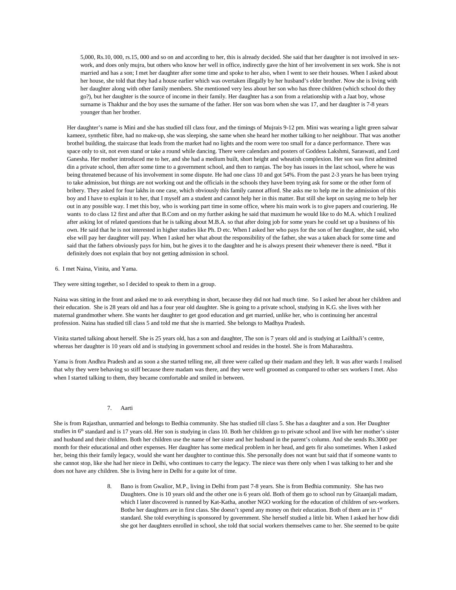5,000, Rs.10, 000, rs.15, 000 and so on and according to her, this is already decided. She said that her daughter is not involved in sexwork, and does only mujra, but others who know her well in office, indirectly gave the hint of her involvement in sex work. She is not married and has a son; I met her daughter after some time and spoke to her also, when I went to see their houses. When I asked about her house, she told that they had a house earlier which was overtaken illegally by her husband's elder brother. Now she is living with her daughter along with other family members. She mentioned very less about her son who has three children (which school do they go?), but her daughter is the source of income in their family. Her daughter has a son from a relationship with a Jaat boy, whose surname is Thakhur and the boy uses the surname of the father. Her son was born when she was 17, and her daughter is 7-8 years younger than her brother.

Her daughter's name is Mini and she has studied till class four, and the timings of Mujrais 9-12 pm. Mini was wearing a light green salwar kameez, synthetic fibre, had no make-up, she was sleeping, she same when she heard her mother talking to her neighbour. That was another brothel building, the staircase that leads from the market had no lights and the room were too small for a dance performance. There was space only to sit, not even stand or take a round while dancing. There were calendars and posters of Goddess Lakshmi, Saraswati, and Lord Ganesha. Her mother introduced me to her, and she had a medium built, short height and wheatish complexion. Her son was first admitted din a private school, then after some time to a government school, and then to ramjas. The boy has issues in the last school, where he was being threatened because of his involvement in some dispute. He had one class 10 and got 54%. From the past 2-3 years he has been trying to take admission, but things are not working out and the officials in the schools they have been trying ask for some or the other form of bribery. They asked for four lakhs in one case, which obviously this family cannot afford. She asks me to help me in the admission of this boy and I have to explain it to her, that I myself am a student and cannot help her in this matter. But still she kept on saying me to help her out in any possible way. I met this boy, who is working part time in some office, where his main work is to give papers and couriering. He wants to do class 12 first and after that B.Com and on my further asking he said that maximum he would like to do M.A. which I realized after asking lot of related questions that he is talking about M.B.A. so that after doing job for some years he could set up a business of his own. He said that he is not interested in higher studies like Ph. D etc. When I asked her who pays for the son of her daughter, she said, who else will pay her daughter will pay. When I asked her what about the responsibility of the father, she was a taken aback for some time and said that the fathers obviously pays for him, but he gives it to the daughter and he is always present their whenever there is need. \*But it definitely does not explain that boy not getting admission in school.

6. I met Naina, Vinita, and Yama.

They were sitting together, so I decided to speak to them in a group.

Naina was sitting in the front and asked me to ask everything in short, because they did not had much time. So I asked her about her children and their education. She is 28 years old and has a four year old daughter. She is going to a private school, studying in K.G. she lives with her maternal grandmother where. She wants her daughter to get good education and get married, unlike her, who is continuing her ancestral profession. Naina has studied till class 5 and told me that she is married. She belongs to Madhya Pradesh.

Vinita started talking about herself. She is 25 years old, has a son and daughter, The son is 7 years old and is studying at LailthaJi's centre, whereas her daughter is 10 years old and is studying in government school and resides in the hostel. She is from Maharashtra.

Yama is from Andhra Pradesh and as soon a she started telling me, all three were called up their madam and they left. It was after wards I realised that why they were behaving so stiff because there madam was there, and they were well groomed as compared to other sex workers I met. Also when I started talking to them, they became comfortable and smiled in between.

# 7. Aarti

She is from Rajasthan, unmarried and belongs to Bedhia community. She has studied till class 5. She has a daughter and a son. Her Daughter studies in  $6<sup>th</sup>$  standard and is 17 years old. Her son is studying in class 10. Both her children go to private school and live with her mother's sister and husband and their children. Both her children use the name of her sister and her husband in the parent's column. And she sends Rs.3000 per month for their educational and other expenses. Her daughter has some medical problem in her head, and gets fir also sometimes. When I asked her, being this their family legacy, would she want her daughter to continue this. She personally does not want but said that if someone wants to she cannot stop, like she had her niece in Delhi, who continues to carry the legacy. The niece was there only when I was talking to her and she does not have any children. She is living here in Delhi for a quite lot of time.

> 8. Bano is from Gwalior, M.P., living in Delhi from past 7-8 years. She is from Bedhia community. She has two Daughters. One is 10 years old and the other one is 6 years old. Both of them go to school run by Gitaanjali madam, which I later discovered is runned by Kat-Katha, another NGO working for the education of children of sex-workers. Bothe her daughters are in first class. She doesn't spend any money on their education. Both of them are in 1<sup>st</sup> standard. She told everything is sponsored by government. She herself studied a little bit. When I asked her how didi she got her daughters enrolled in school, she told that social workers themselves came to her. She seemed to be quite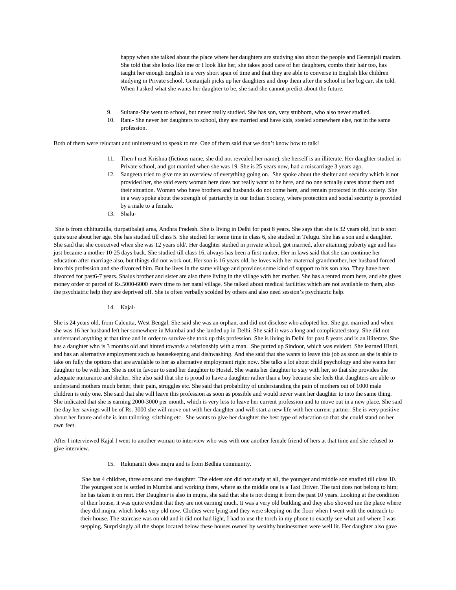happy when she talked about the place where her daughters are studying also about the people and Geetanjali madam. She told that she looks like me or I look like her, she takes good care of her daughters, combs their hair too, has taught her enough English in a very short span of time and that they are able to converse in English like children studying in Private school. Geetanjali picks up her daughters and drop them after the school in her big car, she told. When I asked what she wants her daughter to be, she said she cannot predict about the future.

- Sultana-She went to school, but never really studied. She has son, very stubborn, who also never studied.
- 10. Rani- She never her daughters to school, they are married and have kids, steeled somewhere else, not in the same profession.

Both of them were reluctant and uninterested to speak to me. One of them said that we don't know how to talk!

- 11. Then I met Krishna (fictious name, she did not revealed her name), she herself is an illiterate. Her daughter studied in Private school, and got married when she was 19. She is 25 years now, had a miscarriage 3 years ago.
- 12. Sangeeta tried to give me an overview of everything going on. She spoke about the shelter and security which is not provided her, she said every woman here does not really want to be here, and no one actually cares about them and their situation. Women who have brothers and husbands do not come here, and remain protected in this society. She in a way spoke about the strength of patriarchy in our Indian Society, where protection and social security is provided by a male to a female.
- 13. Shalu-

She is from chhiturzilla, tiurpatibalaji area, Andhra Pradesh. She is living in Delhi for past 8 years. She says that she is 32 years old, but is snot quite sure about her age. She has studied till class 5. She studied for some time in class 6, she studied in Telugu. She has a son and a daughter. She said that she conceived when she was 12 years old/. Her daughter studied in private school, got married, after attaining puberty age and has just became a mother 10-25 days back. She studied till class 16, always has been a first ranker. Her in laws said that she can continue her education after marriage also, but things did not work out. Her son is 16 years old, he loves with her maternal grandmother, her husband forced into this profession and she divorced him. But he lives in the same village and provides some kind of support to his son also. They have been divorced for past6-7 years. Shalus brother and sister are also there living in the village with her mother. She has a rented room here, and she gives money order or parcel of Rs.5000-6000 every time to her natal village. She talked about medical facilities which are not available to them, also the psychiatric help they are deprived off. She is often verbally scolded by others and also need session's psychiatric help.

#### 14. Kajal-

She is 24 years old, from Calcutta, West Bengal. She said she was an orphan, and did not disclose who adopted her. She got married and when she was 16 her husband left her somewhere in Mumbai and she landed up in Delhi. She said it was a long and complicated story. She did not understand anything at that time and in order to survive she took up this profession. She is living in Delhi for past 8 years and is an illiterate. She has a daughter who is 3 months old and hinted towards a relationship with a man. She putted up Sindoor, which was evident. She learned Hindi, and has an alternative employment such as housekeeping and dishwashing. And she said that she wants to leave this job as soon as she is able to take on fully the options that are available to her as alternative employment right now. She talks a lot about child psychology and she wants her daughter to be with her. She is not in favour to send her daughter to Hostel. She wants her daughter to stay with her, so that she provides the adequate nurturance and shelter. She also said that she is proud to have a daughter rather than a boy because she feels that daughters are able to understand mothers much better, their pain, struggles etc. She said that probability of understanding the pain of mothers out of 1000 male children is only one. She said that she will leave this profession as soon as possible and would never want her daughter to into the same thing. She indicated that she is earning 2000-3000 per month, which is very less to leave her current profession and to move out in a new place. She said the day her savings will be of Rs. 3000 she will move out with her daughter and will start a new life with her current partner. She is very positive about her future and she is into tailoring, stitching etc. She wants to give her daughter the best type of education so that she could stand on her own feet.

After I interviewed Kajal I went to another woman to interview who was with one another female friend of hers at that time and she refused to give interview.

15. RukmaniJi does mujra and is from Bedhia community.

She has 4 children, three sons and one daughter. The eldest son did not study at all, the younger and middle son studied till class 10. The youngest son is settled in Mumbai and working there, where as the middle one is a Taxi Driver. The taxi does not belong to him; he has taken it on rent. Her Daughter is also in mujra, she said that she is not doing it from the past 10 years. Looking at the condition of their house, it was quite evident that they are not earning much. It was a very old building and they also showed me the place where they did mujra, which looks very old now. Clothes were lying and they were sleeping on the floor when I went with the outreach to their house. The staircase was on old and it did not had light, I had to use the torch in my phone to exactly see what and where I was stepping. Surprisingly all the shops located below these houses owned by wealthy businessmen were well lit. Her daughter also gave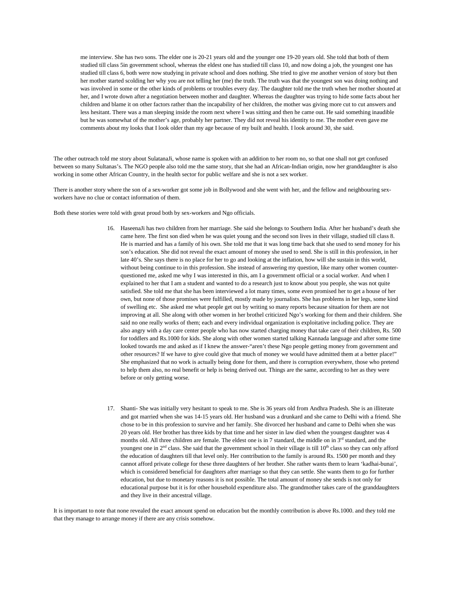me interview. She has two sons. The elder one is 20-21 years old and the younger one 19-20 years old. She told that both of them studied till class 5in government school, whereas the eldest one has studied till class 10, and now doing a job, the youngest one has studied till class 6, both were now studying in private school and does nothing. She tried to give me another version of story but then her mother started scolding her why you are not telling her (me) the truth. The truth was that the youngest son was doing nothing and was involved in some or the other kinds of problems or troubles every day. The daughter told me the truth when her mother shouted at her, and I wrote down after a negotiation between mother and daughter. Whereas the daughter was trying to hide some facts about her children and blame it on other factors rather than the incapability of her children, the mother was giving more cut to cut answers and less hesitant. There was a man sleeping inside the room next where I was sitting and then he came out. He said something inaudible but he was somewhat of the mother's age, probably her partner. They did not reveal his identity to me. The mother even gave me comments about my looks that I look older than my age because of my built and health. I look around 30, she said.

The other outreach told me story about SulatanaJi, whose name is spoken with an addition to her room no, so that one shall not get confused between so many Sultanas's. The NGO people also told me the same story, that she had an African-Indian origin, now her granddaughter is also working in some other African Country, in the health sector for public welfare and she is not a sex worker.

There is another story where the son of a sex-worker got some job in Bollywood and she went with her, and the fellow and neighbouring sexworkers have no clue or contact information of them.

Both these stories were told with great proud both by sex-workers and Ngo officials.

- 16. HaseenaJi has two children from her marriage. She said she belongs to Southern India. After her husband's death she came here. The first son died when he was quiet young and the second son lives in their village, studied till class 8. He is married and has a family of his own. She told me that it was long time back that she used to send money for his son's education. She did not reveal the exact amount of money she used to send. She is still in this profession, in her late 40's. She says there is no place for her to go and looking at the inflation, how will she sustain in this world, without being continue to in this profession. She instead of answering my question, like many other women counterquestioned me, asked me why I was interested in this, am I a government official or a social worker. And when I explained to her that I am a student and wanted to do a research just to know about you people, she was not quite satisfied. She told me that she has been interviewed a lot many times, some even promised her to get a house of her own, but none of those promises were fulfilled, mostly made by journalists. She has problems in her legs, some kind of swelling etc. She asked me what people get out by writing so many reports because situation for them are not improving at all. She along with other women in her brothel criticized Ngo's working for them and their children. She said no one really works of them; each and every individual organization is exploitative including police. They are also angry with a day care center people who has now started charging money that take care of their children, Rs. 500 for toddlers and Rs.1000 for kids. She along with other women started talking Kannada language and after some time looked towards me and asked as if I knew the answer-"aren't these Ngo people getting money from government and other resources? If we have to give could give that much of money we would have admitted them at a better place!" She emphasized that no work is actually being done for them, and there is corruption everywhere, those who pretend to help them also, no real benefit or help is being derived out. Things are the same, according to her as they were before or only getting worse.
- 17. Shanti- She was initially very hesitant to speak to me. She is 36 years old from Andhra Pradesh. She is an illiterate and got married when she was 14-15 years old. Her husband was a drunkard and she came to Delhi with a friend. She chose to be in this profession to survive and her family. She divorced her husband and came to Delhi when she was 20 years old. Her brother has three kids by that time and her sister in law died when the youngest daughter was 4 months old. All three children are female. The eldest one is in 7 standard, the middle on in 3<sup>rd</sup> standard, and the youngest one in  $2<sup>nd</sup>$  class. She said that the government school in their village is till  $10<sup>th</sup>$  class so they can only afford the education of daughters till that level only. Her contribution to the family is around Rs. 1500 per month and they cannot afford private college for these three daughters of her brother. She rather wants them to learn 'kadhai-bunai', which is considered beneficial for daughters after marriage so that they can settle. She wants them to go for further education, but due to monetary reasons it is not possible. The total amount of money she sends is not only for educational purpose but it is for other household expenditure also. The grandmother takes care of the granddaughters and they live in their ancestral village.

It is important to note that none revealed the exact amount spend on education but the monthly contribution is above Rs.1000. and they told me that they manage to arrange money if there are any crisis somehow.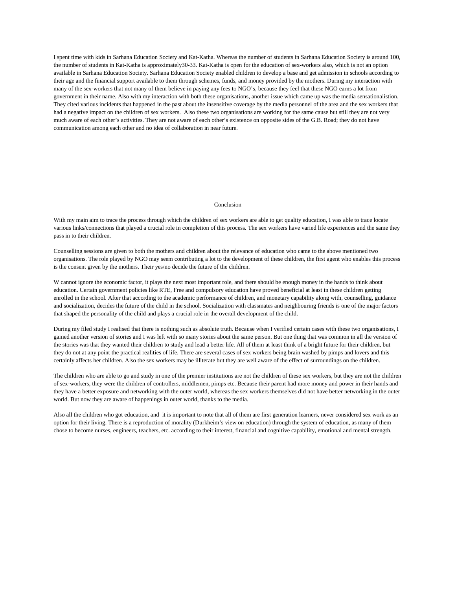I spent time with kids in Sarhana Education Society and Kat-Katha. Whereas the number of students in Sarhana Education Society is around 100, the number of students in Kat-Katha is approximately30-33. Kat-Katha is open for the education of sex-workers also, which is not an option available in Sarhana Education Society. Sarhana Education Society enabled children to develop a base and get admission in schools according to their age and the financial support available to them through schemes, funds, and money provided by the mothers. During my interaction with many of the sex-workers that not many of them believe in paying any fees to NGO's, because they feel that these NGO earns a lot from government in their name. Also with my interaction with both these organisations, another issue which came up was the media sensationalistion. They cited various incidents that happened in the past about the insensitive coverage by the media personnel of the area and the sex workers that had a negative impact on the children of sex workers. Also these two organisations are working for the same cause but still they are not very much aware of each other's activities. They are not aware of each other's existence on opposite sides of the G.B. Road; they do not have communication among each other and no idea of collaboration in near future.

#### Conclusion

With my main aim to trace the process through which the children of sex workers are able to get quality education, I was able to trace locate various links/connections that played a crucial role in completion of this process. The sex workers have varied life experiences and the same they pass in to their children.

Counselling sessions are given to both the mothers and children about the relevance of education who came to the above mentioned two organisations. The role played by NGO may seem contributing a lot to the development of these children, the first agent who enables this process is the consent given by the mothers. Their yes/no decide the future of the children.

W cannot ignore the economic factor, it plays the next most important role, and there should be enough money in the hands to think about education. Certain government policies like RTE, Free and compulsory education have proved beneficial at least in these children getting enrolled in the school. After that according to the academic performance of children, and monetary capability along with, counselling, guidance and socialization, decides the future of the child in the school. Socialization with classmates and neighbouring friends is one of the major factors that shaped the personality of the child and plays a crucial role in the overall development of the child.

During my filed study I realised that there is nothing such as absolute truth. Because when I verified certain cases with these two organisations, I gained another version of stories and I was left with so many stories about the same person. But one thing that was common in all the version of the stories was that they wanted their children to study and lead a better life. All of them at least think of a bright future for their children, but they do not at any point the practical realities of life. There are several cases of sex workers being brain washed by pimps and lovers and this certainly affects her children. Also the sex workers may be illiterate but they are well aware of the effect of surroundings on the children.

The children who are able to go and study in one of the premier institutions are not the children of these sex workers, but they are not the children of sex-workers, they were the children of controllers, middlemen, pimps etc. Because their parent had more money and power in their hands and they have a better exposure and networking with the outer world, whereas the sex workers themselves did not have better networking in the outer world. But now they are aware of happenings in outer world, thanks to the media.

Also all the children who got education, and it is important to note that all of them are first generation learners, never considered sex work as an option for their living. There is a reproduction of morality (Durkheim's view on education) through the system of education, as many of them chose to become nurses, engineers, teachers, etc. according to their interest, financial and cognitive capability, emotional and mental strength.